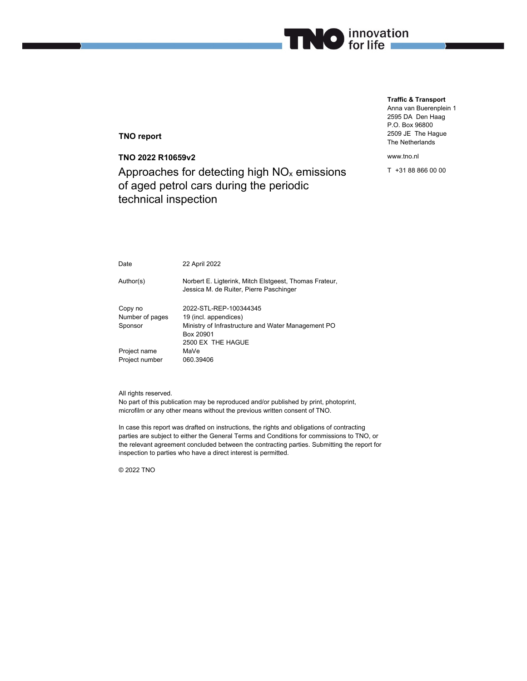# **TNO report**

**TNO 2022 R10659v2**  Approaches for detecting high  $NO<sub>x</sub>$  emissions of aged petrol cars during the periodic technical inspection

**Traffic & Transport** Anna van Buerenplein 1 2595 DA Den Haag P.O. Box 96800 2509 JE The Hague The Netherlands

www.tno.nl

**TIMO** for life

T +31 88 866 00 00

| Date            | 22 April 2022                                                                                     |  |
|-----------------|---------------------------------------------------------------------------------------------------|--|
| Author(s)       | Norbert E. Ligterink, Mitch Elstgeest, Thomas Frateur,<br>Jessica M. de Ruiter, Pierre Paschinger |  |
| Copy no         | 2022-STL-REP-100344345                                                                            |  |
| Number of pages | 19 (incl. appendices)                                                                             |  |
| Sponsor         | Ministry of Infrastructure and Water Management PO                                                |  |
|                 | Box 20901                                                                                         |  |
|                 | 2500 EX THE HAGUE                                                                                 |  |
| Project name    | MaVe                                                                                              |  |
| Project number  | 060.39406                                                                                         |  |

All rights reserved.

No part of this publication may be reproduced and/or published by print, photoprint, microfilm or any other means without the previous written consent of TNO.

In case this report was drafted on instructions, the rights and obligations of contracting parties are subject to either the General Terms and Conditions for commissions to TNO, or the relevant agreement concluded between the contracting parties. Submitting the report for inspection to parties who have a direct interest is permitted.

© 2022 TNO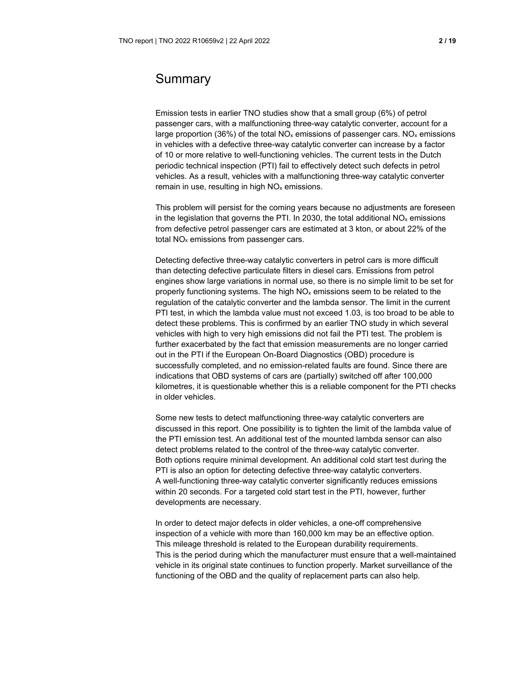# Summary

Emission tests in earlier TNO studies show that a small group (6%) of petrol passenger cars, with a malfunctioning three-way catalytic converter, account for a large proportion (36%) of the total  $NO<sub>x</sub>$  emissions of passenger cars.  $NO<sub>x</sub>$  emissions in vehicles with a defective three-way catalytic converter can increase by a factor of 10 or more relative to well-functioning vehicles. The current tests in the Dutch periodic technical inspection (PTI) fail to effectively detect such defects in petrol vehicles. As a result, vehicles with a malfunctioning three-way catalytic converter remain in use, resulting in high  $NO<sub>x</sub>$  emissions.

This problem will persist for the coming years because no adjustments are foreseen in the legislation that governs the PTI. In 2030, the total additional  $NO<sub>x</sub>$  emissions from defective petrol passenger cars are estimated at 3 kton, or about 22% of the total  $NO<sub>x</sub>$  emissions from passenger cars.

Detecting defective three-way catalytic converters in petrol cars is more difficult than detecting defective particulate filters in diesel cars. Emissions from petrol engines show large variations in normal use, so there is no simple limit to be set for properly functioning systems. The high NOx emissions seem to be related to the regulation of the catalytic converter and the lambda sensor. The limit in the current PTI test, in which the lambda value must not exceed 1.03, is too broad to be able to detect these problems. This is confirmed by an earlier TNO study in which several vehicles with high to very high emissions did not fail the PTI test. The problem is further exacerbated by the fact that emission measurements are no longer carried out in the PTI if the European On-Board Diagnostics (OBD) procedure is successfully completed, and no emission-related faults are found. Since there are indications that OBD systems of cars are (partially) switched off after 100,000 kilometres, it is questionable whether this is a reliable component for the PTI checks in older vehicles.

Some new tests to detect malfunctioning three-way catalytic converters are discussed in this report. One possibility is to tighten the limit of the lambda value of the PTI emission test. An additional test of the mounted lambda sensor can also detect problems related to the control of the three-way catalytic converter. Both options require minimal development. An additional cold start test during the PTI is also an option for detecting defective three-way catalytic converters. A well-functioning three-way catalytic converter significantly reduces emissions within 20 seconds. For a targeted cold start test in the PTI, however, further developments are necessary.

In order to detect major defects in older vehicles, a one-off comprehensive inspection of a vehicle with more than 160,000 km may be an effective option. This mileage threshold is related to the European durability requirements. This is the period during which the manufacturer must ensure that a well-maintained vehicle in its original state continues to function properly. Market surveillance of the functioning of the OBD and the quality of replacement parts can also help.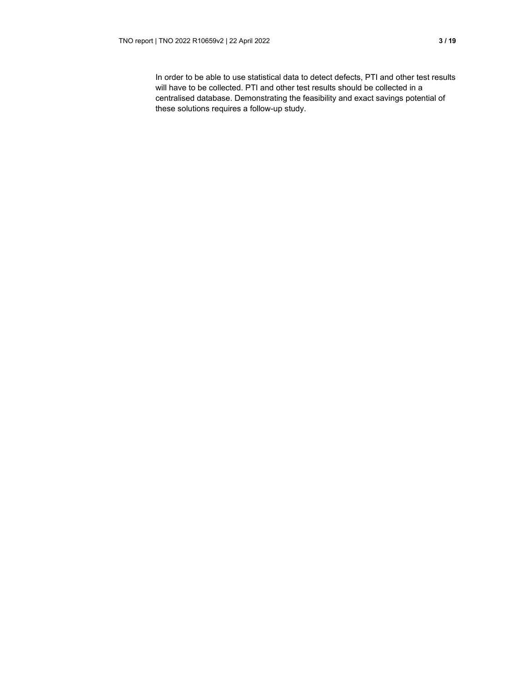In order to be able to use statistical data to detect defects, PTI and other test results will have to be collected. PTI and other test results should be collected in a centralised database. Demonstrating the feasibility and exact savings potential of these solutions requires a follow-up study.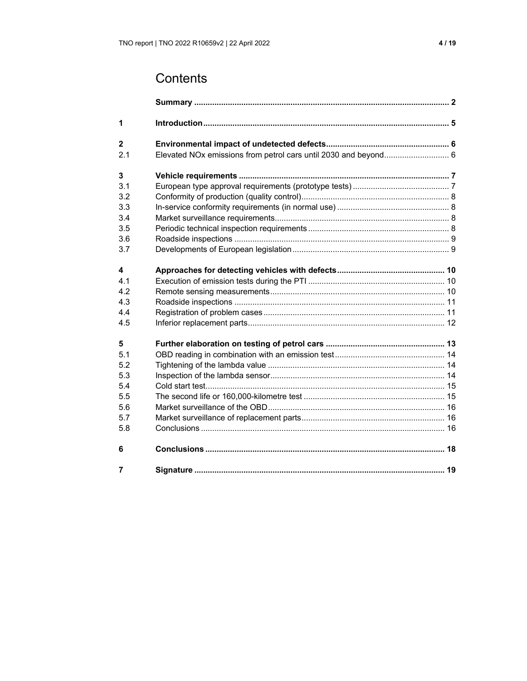| 1              |                                                                 |  |
|----------------|-----------------------------------------------------------------|--|
| $\overline{2}$ |                                                                 |  |
| 2.1            | Elevated NOx emissions from petrol cars until 2030 and beyond 6 |  |
| 3              |                                                                 |  |
| 3.1            |                                                                 |  |
| 3.2            |                                                                 |  |
| 3.3            |                                                                 |  |
| 3.4            |                                                                 |  |
| 3.5            |                                                                 |  |
| 3.6            |                                                                 |  |
| 3.7            |                                                                 |  |
| 4              |                                                                 |  |
| 4.1            |                                                                 |  |
| 4.2            |                                                                 |  |
| 4.3            |                                                                 |  |
| 4.4            |                                                                 |  |
| 4.5            |                                                                 |  |
| 5              |                                                                 |  |
| 5.1            |                                                                 |  |
| 5.2            |                                                                 |  |
| 5.3            |                                                                 |  |
| 5.4            |                                                                 |  |
| 5.5            |                                                                 |  |
| 5.6            |                                                                 |  |
| 5.7            |                                                                 |  |
| 5.8            |                                                                 |  |
| 6              |                                                                 |  |
| 7              |                                                                 |  |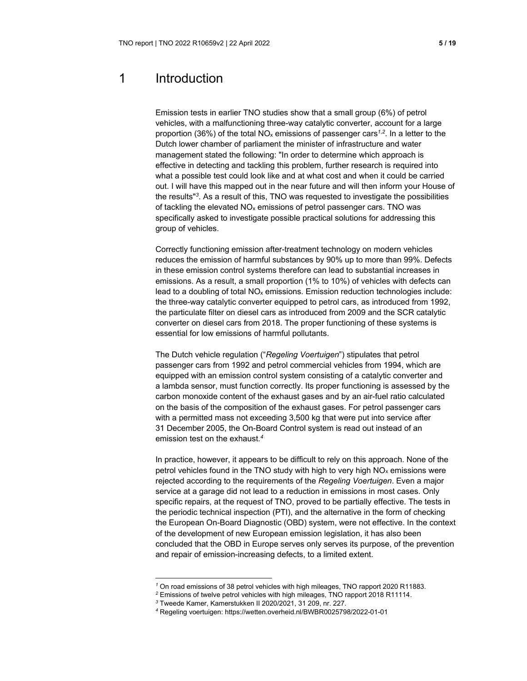# 1 Introduction

Emission tests in earlier TNO studies show that a small group (6%) of petrol vehicles, with a malfunctioning three-way catalytic converter, account for a large proportion (36%) of the total NOx emissions of passenger cars*<sup>1</sup>*,*<sup>2</sup>*. In a letter to the Dutch lower chamber of parliament the minister of infrastructure and water management stated the following: "In order to determine which approach is effective in detecting and tackling this problem, further research is required into what a possible test could look like and at what cost and when it could be carried out. I will have this mapped out in the near future and will then inform your House of the results"*<sup>3</sup>*. As a result of this, TNO was requested to investigate the possibilities of tackling the elevated  $NO<sub>x</sub>$  emissions of petrol passenger cars. TNO was specifically asked to investigate possible practical solutions for addressing this group of vehicles.

Correctly functioning emission after-treatment technology on modern vehicles reduces the emission of harmful substances by 90% up to more than 99%. Defects in these emission control systems therefore can lead to substantial increases in emissions. As a result, a small proportion (1% to 10%) of vehicles with defects can lead to a doubling of total  $NO<sub>x</sub>$  emissions. Emission reduction technologies include: the three-way catalytic converter equipped to petrol cars, as introduced from 1992, the particulate filter on diesel cars as introduced from 2009 and the SCR catalytic converter on diesel cars from 2018. The proper functioning of these systems is essential for low emissions of harmful pollutants.

The Dutch vehicle regulation ("*Regeling Voertuigen*") stipulates that petrol passenger cars from 1992 and petrol commercial vehicles from 1994, which are equipped with an emission control system consisting of a catalytic converter and a lambda sensor, must function correctly. Its proper functioning is assessed by the carbon monoxide content of the exhaust gases and by an air-fuel ratio calculated on the basis of the composition of the exhaust gases. For petrol passenger cars with a permitted mass not exceeding 3,500 kg that were put into service after 31 December 2005, the On-Board Control system is read out instead of an emission test on the exhaust.*<sup>4</sup>*

In practice, however, it appears to be difficult to rely on this approach. None of the petrol vehicles found in the TNO study with high to very high  $NO<sub>x</sub>$  emissions were rejected according to the requirements of the *Regeling Voertuigen*. Even a major service at a garage did not lead to a reduction in emissions in most cases. Only specific repairs, at the request of TNO, proved to be partially effective. The tests in the periodic technical inspection (PTI), and the alternative in the form of checking the European On-Board Diagnostic (OBD) system, were not effective. In the context of the development of new European emission legislation, it has also been concluded that the OBD in Europe serves only serves its purpose, of the prevention and repair of emission-increasing defects, to a limited extent.

*<sup>1</sup>* On road emissions of 38 petrol vehicles with high mileages, TNO rapport 2020 R11883.

*<sup>2</sup>* Emissions of twelve petrol vehicles with high mileages, TNO rapport 2018 R11114.

*<sup>3</sup>* Tweede Kamer, Kamerstukken II 2020/2021, 31 209, nr. 227.

*<sup>4</sup>* Regeling voertuigen: https://wetten.overheid.nl/BWBR0025798/2022-01-01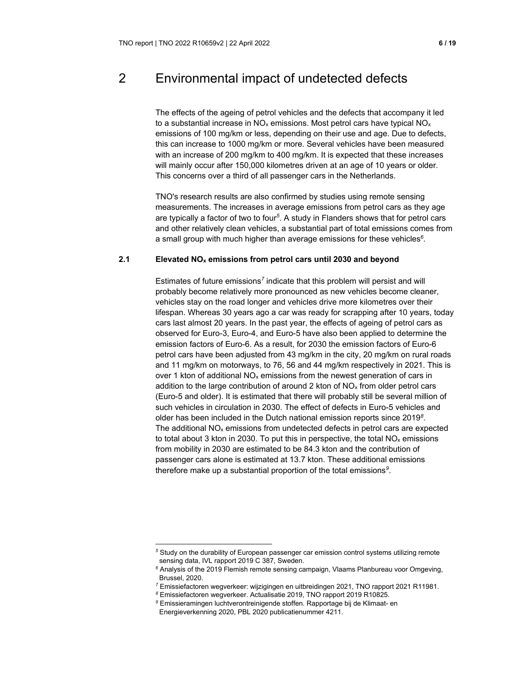# 2 Environmental impact of undetected defects

The effects of the ageing of petrol vehicles and the defects that accompany it led to a substantial increase in  $NO<sub>x</sub>$  emissions. Most petrol cars have typical  $NO<sub>x</sub>$ emissions of 100 mg/km or less, depending on their use and age. Due to defects, this can increase to 1000 mg/km or more. Several vehicles have been measured with an increase of 200 mg/km to 400 mg/km. It is expected that these increases will mainly occur after 150,000 kilometres driven at an age of 10 years or older. This concerns over a third of all passenger cars in the Netherlands.

TNO's research results are also confirmed by studies using remote sensing measurements. The increases in average emissions from petrol cars as they age are typically a factor of two to four*<sup>5</sup>*. A study in Flanders shows that for petrol cars and other relatively clean vehicles, a substantial part of total emissions comes from a small group with much higher than average emissions for these vehicles*<sup>6</sup>*.

# **2.1 Elevated NOx emissions from petrol cars until 2030 and beyond**

Estimates of future emissions*<sup>7</sup>* indicate that this problem will persist and will probably become relatively more pronounced as new vehicles become cleaner, vehicles stay on the road longer and vehicles drive more kilometres over their lifespan. Whereas 30 years ago a car was ready for scrapping after 10 years, today cars last almost 20 years. In the past year, the effects of ageing of petrol cars as observed for Euro-3, Euro-4, and Euro-5 have also been applied to determine the emission factors of Euro-6. As a result, for 2030 the emission factors of Euro-6 petrol cars have been adjusted from 43 mg/km in the city, 20 mg/km on rural roads and 11 mg/km on motorways, to 76, 56 and 44 mg/km respectively in 2021. This is over 1 kton of additional  $NO_x$  emissions from the newest generation of cars in addition to the large contribution of around 2 kton of  $NO<sub>x</sub>$  from older petrol cars (Euro-5 and older). It is estimated that there will probably still be several million of such vehicles in circulation in 2030. The effect of defects in Euro-5 vehicles and older has been included in the Dutch national emission reports since 2019*<sup>8</sup>*. The additional  $NO<sub>x</sub>$  emissions from undetected defects in petrol cars are expected to total about 3 kton in 2030. To put this in perspective, the total  $NO<sub>x</sub>$  emissions from mobility in 2030 are estimated to be 84.3 kton and the contribution of passenger cars alone is estimated at 13.7 kton. These additional emissions therefore make up a substantial proportion of the total emissions*<sup>9</sup>*.

*<sup>5</sup>* Study on the durability of European passenger car emission control systems utilizing remote sensing data, IVL rapport 2019 C 387, Sweden.

*<sup>6</sup>* Analysis of the 2019 Flemish remote sensing campaign, Vlaams Planbureau voor Omgeving, Brussel, 2020.

*<sup>7</sup>* Emissiefactoren wegverkeer: wijzigingen en uitbreidingen 2021, TNO rapport 2021 R11981.

*<sup>8</sup>* Emissiefactoren wegverkeer. Actualisatie 2019, TNO rapport 2019 R10825.

*<sup>9</sup>* Emissieramingen luchtverontreinigende stoffen. Rapportage bij de Klimaat- en Energieverkenning 2020, PBL 2020 publicatienummer 4211.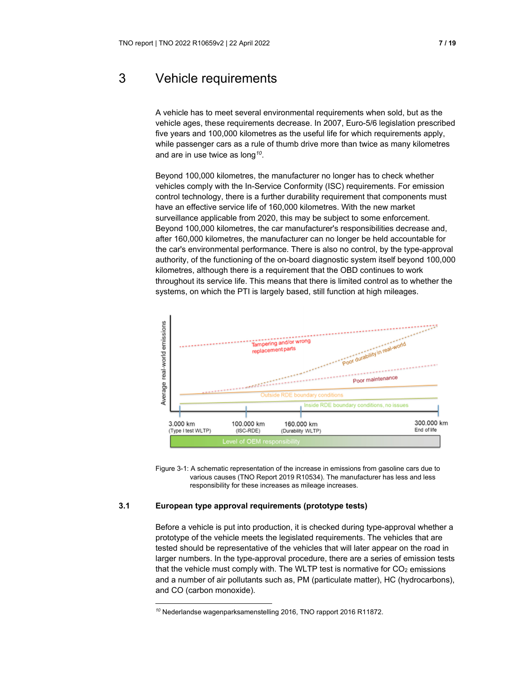# 3 Vehicle requirements

A vehicle has to meet several environmental requirements when sold, but as the vehicle ages, these requirements decrease. In 2007, Euro-5/6 legislation prescribed five years and 100,000 kilometres as the useful life for which requirements apply, while passenger cars as a rule of thumb drive more than twice as many kilometres and are in use twice as long*<sup>10</sup>*.

Beyond 100,000 kilometres, the manufacturer no longer has to check whether vehicles comply with the In-Service Conformity (ISC) requirements. For emission control technology, there is a further durability requirement that components must have an effective service life of 160,000 kilometres. With the new market surveillance applicable from 2020, this may be subject to some enforcement. Beyond 100,000 kilometres, the car manufacturer's responsibilities decrease and, after 160,000 kilometres, the manufacturer can no longer be held accountable for the car's environmental performance. There is also no control, by the type-approval authority, of the functioning of the on-board diagnostic system itself beyond 100,000 kilometres, although there is a requirement that the OBD continues to work throughout its service life. This means that there is limited control as to whether the systems, on which the PTI is largely based, still function at high mileages.



Figure 3-1: A schematic representation of the increase in emissions from gasoline cars due to various causes (TNO Report 2019 R10534). The manufacturer has less and less responsibility for these increases as mileage increases.

# **3.1 European type approval requirements (prototype tests)**

Before a vehicle is put into production, it is checked during type-approval whether a prototype of the vehicle meets the legislated requirements. The vehicles that are tested should be representative of the vehicles that will later appear on the road in larger numbers. In the type-approval procedure, there are a series of emission tests that the vehicle must comply with. The WLTP test is normative for  $CO<sub>2</sub>$  emissions and a number of air pollutants such as, PM (particulate matter), HC (hydrocarbons), and CO (carbon monoxide).

*<sup>10</sup>* Nederlandse wagenparksamenstelling 2016, TNO rapport 2016 R11872.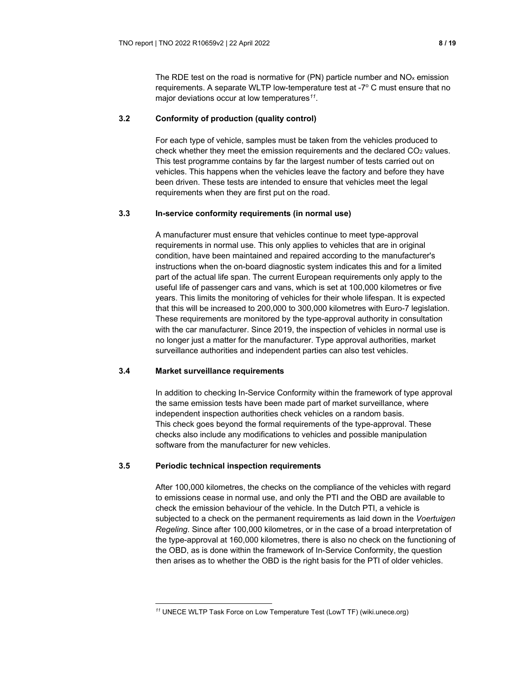The RDE test on the road is normative for  $(PN)$  particle number and  $NO<sub>x</sub>$  emission requirements. A separate WLTP low-temperature test at -7° C must ensure that no major deviations occur at low temperatures*<sup>11</sup>*.

# **3.2 Conformity of production (quality control)**

For each type of vehicle, samples must be taken from the vehicles produced to check whether they meet the emission requirements and the declared  $CO<sub>2</sub>$  values. This test programme contains by far the largest number of tests carried out on vehicles. This happens when the vehicles leave the factory and before they have been driven. These tests are intended to ensure that vehicles meet the legal requirements when they are first put on the road.

# **3.3 In-service conformity requirements (in normal use)**

A manufacturer must ensure that vehicles continue to meet type-approval requirements in normal use. This only applies to vehicles that are in original condition, have been maintained and repaired according to the manufacturer's instructions when the on-board diagnostic system indicates this and for a limited part of the actual life span. The current European requirements only apply to the useful life of passenger cars and vans, which is set at 100,000 kilometres or five years. This limits the monitoring of vehicles for their whole lifespan. It is expected that this will be increased to 200,000 to 300,000 kilometres with Euro-7 legislation. These requirements are monitored by the type-approval authority in consultation with the car manufacturer. Since 2019, the inspection of vehicles in normal use is no longer just a matter for the manufacturer. Type approval authorities, market surveillance authorities and independent parties can also test vehicles.

# **3.4 Market surveillance requirements**

In addition to checking In-Service Conformity within the framework of type approval the same emission tests have been made part of market surveillance, where independent inspection authorities check vehicles on a random basis. This check goes beyond the formal requirements of the type-approval. These checks also include any modifications to vehicles and possible manipulation software from the manufacturer for new vehicles.

#### **3.5 Periodic technical inspection requirements**

After 100,000 kilometres, the checks on the compliance of the vehicles with regard to emissions cease in normal use, and only the PTI and the OBD are available to check the emission behaviour of the vehicle. In the Dutch PTI, a vehicle is subjected to a check on the permanent requirements as laid down in the *Voertuigen Regeling*. Since after 100,000 kilometres, or in the case of a broad interpretation of the type-approval at 160,000 kilometres, there is also no check on the functioning of the OBD, as is done within the framework of In-Service Conformity, the question then arises as to whether the OBD is the right basis for the PTI of older vehicles.

*<sup>11</sup>* UNECE WLTP Task Force on Low Temperature Test (LowT TF) (wiki.unece.org)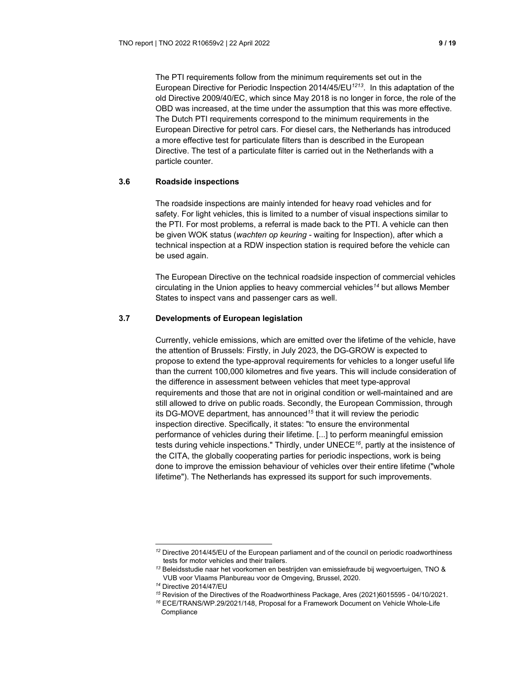The PTI requirements follow from the minimum requirements set out in the European Directive for Periodic Inspection 2014/45/EU*<sup>1213</sup>*. In this adaptation of the old Directive 2009/40/EC, which since May 2018 is no longer in force, the role of the OBD was increased, at the time under the assumption that this was more effective. The Dutch PTI requirements correspond to the minimum requirements in the European Directive for petrol cars. For diesel cars, the Netherlands has introduced a more effective test for particulate filters than is described in the European Directive. The test of a particulate filter is carried out in the Netherlands with a particle counter.

#### **3.6 Roadside inspections**

The roadside inspections are mainly intended for heavy road vehicles and for safety. For light vehicles, this is limited to a number of visual inspections similar to the PTI. For most problems, a referral is made back to the PTI. A vehicle can then be given WOK status (*wachten op keuring* - waiting for Inspection), after which a technical inspection at a RDW inspection station is required before the vehicle can be used again.

The European Directive on the technical roadside inspection of commercial vehicles circulating in the Union applies to heavy commercial vehicles*<sup>14</sup>* but allows Member States to inspect vans and passenger cars as well.

### **3.7 Developments of European legislation**

Currently, vehicle emissions, which are emitted over the lifetime of the vehicle, have the attention of Brussels: Firstly, in July 2023, the DG-GROW is expected to propose to extend the type-approval requirements for vehicles to a longer useful life than the current 100,000 kilometres and five years. This will include consideration of the difference in assessment between vehicles that meet type-approval requirements and those that are not in original condition or well-maintained and are still allowed to drive on public roads. Secondly, the European Commission, through its DG-MOVE department, has announced*<sup>15</sup>* that it will review the periodic inspection directive. Specifically, it states: "to ensure the environmental performance of vehicles during their lifetime. [...] to perform meaningful emission tests during vehicle inspections." Thirdly, under UNECE*<sup>16</sup>*, partly at the insistence of the CITA, the globally cooperating parties for periodic inspections, work is being done to improve the emission behaviour of vehicles over their entire lifetime ("whole lifetime"). The Netherlands has expressed its support for such improvements.

*<sup>12</sup>* Directive 2014/45/EU of the European parliament and of the council on periodic roadworthiness tests for motor vehicles and their trailers.

*<sup>13</sup>* Beleidsstudie naar het voorkomen en bestrijden van emissiefraude bij wegvoertuigen, TNO & VUB voor Vlaams Planbureau voor de Omgeving, Brussel, 2020.

*<sup>14</sup>* Directive 2014/47/EU

*<sup>15</sup>* Revision of the Directives of the Roadworthiness Package, Ares (2021)6015595 - 04/10/2021.

*<sup>16</sup>* ECE/TRANS/WP.29/2021/148, Proposal for a Framework Document on Vehicle Whole-Life **Compliance**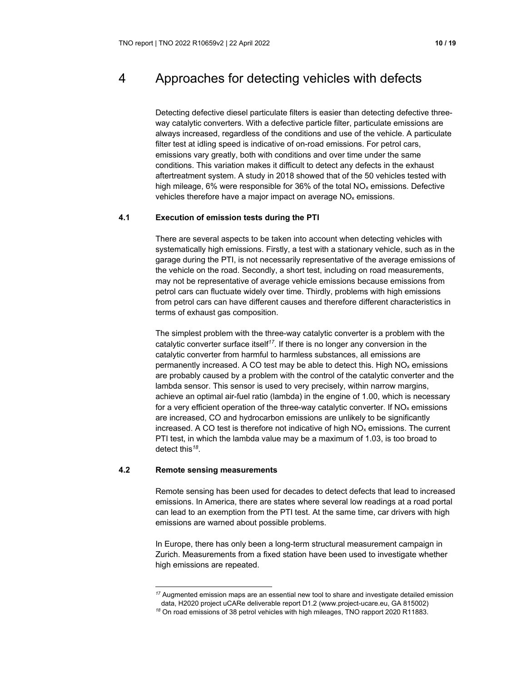# 4 Approaches for detecting vehicles with defects

Detecting defective diesel particulate filters is easier than detecting defective threeway catalytic converters. With a defective particle filter, particulate emissions are always increased, regardless of the conditions and use of the vehicle. A particulate filter test at idling speed is indicative of on-road emissions. For petrol cars, emissions vary greatly, both with conditions and over time under the same conditions. This variation makes it difficult to detect any defects in the exhaust aftertreatment system. A study in 2018 showed that of the 50 vehicles tested with high mileage, 6% were responsible for 36% of the total  $NO<sub>x</sub>$  emissions. Defective vehicles therefore have a major impact on average NOx emissions.

# **4.1 Execution of emission tests during the PTI**

There are several aspects to be taken into account when detecting vehicles with systematically high emissions. Firstly, a test with a stationary vehicle, such as in the garage during the PTI, is not necessarily representative of the average emissions of the vehicle on the road. Secondly, a short test, including on road measurements, may not be representative of average vehicle emissions because emissions from petrol cars can fluctuate widely over time. Thirdly, problems with high emissions from petrol cars can have different causes and therefore different characteristics in terms of exhaust gas composition.

The simplest problem with the three-way catalytic converter is a problem with the catalytic converter surface itself*<sup>17</sup>*. If there is no longer any conversion in the catalytic converter from harmful to harmless substances, all emissions are permanently increased. A CO test may be able to detect this. High  $NO<sub>x</sub>$  emissions are probably caused by a problem with the control of the catalytic converter and the lambda sensor. This sensor is used to very precisely, within narrow margins, achieve an optimal air-fuel ratio (lambda) in the engine of 1.00, which is necessary for a very efficient operation of the three-way catalytic converter. If  $NO<sub>x</sub>$  emissions are increased, CO and hydrocarbon emissions are unlikely to be significantly increased. A CO test is therefore not indicative of high  $NO<sub>x</sub>$  emissions. The current PTI test, in which the lambda value may be a maximum of 1.03, is too broad to detect this*<sup>18</sup>*.

#### **4.2 Remote sensing measurements**

Remote sensing has been used for decades to detect defects that lead to increased emissions. In America, there are states where several low readings at a road portal can lead to an exemption from the PTI test. At the same time, car drivers with high emissions are warned about possible problems.

In Europe, there has only been a long-term structural measurement campaign in Zurich. Measurements from a fixed station have been used to investigate whether high emissions are repeated.

*<sup>17</sup>* Augmented emission maps are an essential new tool to share and investigate detailed emission data, H2020 project uCARe deliverable report D1.2 (www.project-ucare.eu, GA 815002)

*<sup>18</sup>* On road emissions of 38 petrol vehicles with high mileages, TNO rapport 2020 R11883.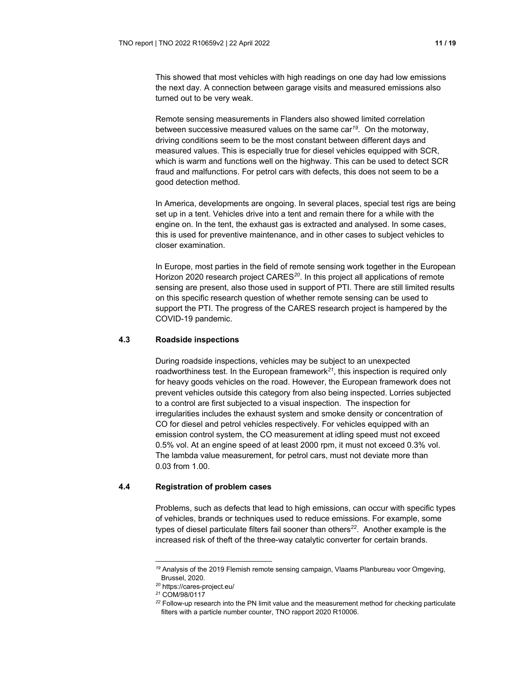This showed that most vehicles with high readings on one day had low emissions the next day. A connection between garage visits and measured emissions also turned out to be very weak.

Remote sensing measurements in Flanders also showed limited correlation between successive measured values on the same car*<sup>19</sup>*. On the motorway, driving conditions seem to be the most constant between different days and measured values. This is especially true for diesel vehicles equipped with SCR, which is warm and functions well on the highway. This can be used to detect SCR fraud and malfunctions. For petrol cars with defects, this does not seem to be a good detection method.

In America, developments are ongoing. In several places, special test rigs are being set up in a tent. Vehicles drive into a tent and remain there for a while with the engine on. In the tent, the exhaust gas is extracted and analysed. In some cases, this is used for preventive maintenance, and in other cases to subject vehicles to closer examination.

In Europe, most parties in the field of remote sensing work together in the European Horizon 2020 research project CARES*<sup>20</sup>*. In this project all applications of remote sensing are present, also those used in support of PTI. There are still limited results on this specific research question of whether remote sensing can be used to support the PTI. The progress of the CARES research project is hampered by the COVID-19 pandemic.

#### **4.3 Roadside inspections**

During roadside inspections, vehicles may be subject to an unexpected roadworthiness test. In the European framework*<sup>21</sup>*, this inspection is required only for heavy goods vehicles on the road. However, the European framework does not prevent vehicles outside this category from also being inspected. Lorries subjected to a control are first subjected to a visual inspection. The inspection for irregularities includes the exhaust system and smoke density or concentration of CO for diesel and petrol vehicles respectively. For vehicles equipped with an emission control system, the CO measurement at idling speed must not exceed 0.5% vol. At an engine speed of at least 2000 rpm, it must not exceed 0.3% vol. The lambda value measurement, for petrol cars, must not deviate more than 0.03 from 1.00.

# **4.4 Registration of problem cases**

Problems, such as defects that lead to high emissions, can occur with specific types of vehicles, brands or techniques used to reduce emissions. For example, some types of diesel particulate filters fail sooner than others*<sup>22</sup>*. Another example is the increased risk of theft of the three-way catalytic converter for certain brands.

*<sup>19</sup>* Analysis of the 2019 Flemish remote sensing campaign, Vlaams Planbureau voor Omgeving, Brussel, 2020.

*<sup>20</sup>* https://cares-project.eu/

*<sup>21</sup>* COM/98/0117

*<sup>22</sup>* Follow-up research into the PN limit value and the measurement method for checking particulate filters with a particle number counter, TNO rapport 2020 R10006.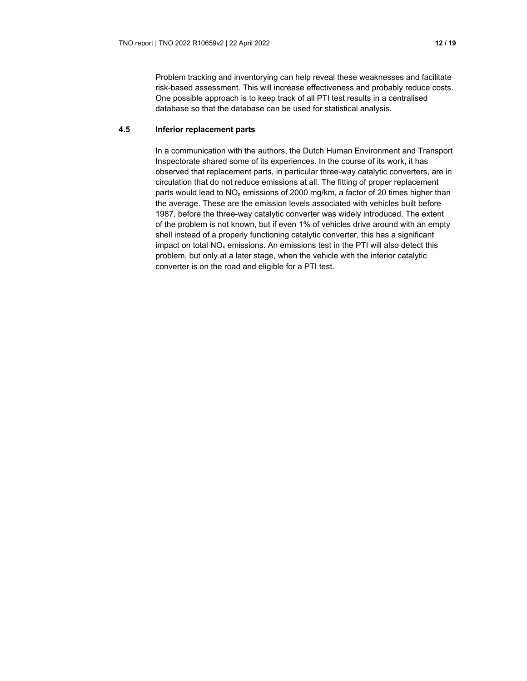Problem tracking and inventorying can help reveal these weaknesses and facilitate risk-based assessment. This will increase effectiveness and probably reduce costs. One possible approach is to keep track of all PTI test results in a centralised database so that the database can be used for statistical analysis.

### **4.5 Inferior replacement parts**

In a communication with the authors, the Dutch Human Environment and Transport Inspectorate shared some of its experiences. In the course of its work, it has observed that replacement parts, in particular three-way catalytic converters, are in circulation that do not reduce emissions at all. The fitting of proper replacement parts would lead to  $NO_x$  emissions of 2000 mg/km, a factor of 20 times higher than the average. These are the emission levels associated with vehicles built before 1987, before the three-way catalytic converter was widely introduced. The extent of the problem is not known, but if even 1% of vehicles drive around with an empty shell instead of a properly functioning catalytic converter, this has a significant impact on total  $NO<sub>x</sub>$  emissions. An emissions test in the PTI will also detect this problem, but only at a later stage, when the vehicle with the inferior catalytic converter is on the road and eligible for a PTI test.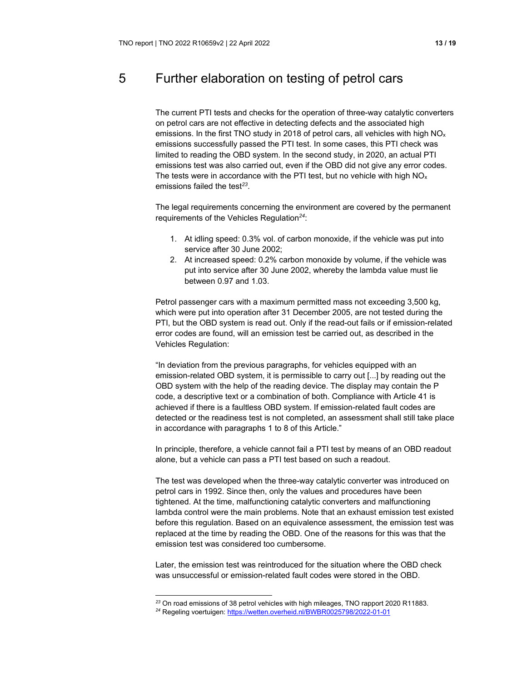# 5 Further elaboration on testing of petrol cars

The current PTI tests and checks for the operation of three-way catalytic converters on petrol cars are not effective in detecting defects and the associated high emissions. In the first TNO study in 2018 of petrol cars, all vehicles with high  $NQ_x$ emissions successfully passed the PTI test. In some cases, this PTI check was limited to reading the OBD system. In the second study, in 2020, an actual PTI emissions test was also carried out, even if the OBD did not give any error codes. The tests were in accordance with the PTI test, but no vehicle with high  $NO<sub>x</sub>$ emissions failed the test*<sup>23</sup>*.

The legal requirements concerning the environment are covered by the permanent requirements of the Vehicles Regulation*<sup>24</sup>*:

- 1. At idling speed: 0.3% vol. of carbon monoxide, if the vehicle was put into service after 30 June 2002;
- 2. At increased speed: 0.2% carbon monoxide by volume, if the vehicle was put into service after 30 June 2002, whereby the lambda value must lie between 0.97 and 1.03.

Petrol passenger cars with a maximum permitted mass not exceeding 3,500 kg, which were put into operation after 31 December 2005, are not tested during the PTI, but the OBD system is read out. Only if the read-out fails or if emission-related error codes are found, will an emission test be carried out, as described in the Vehicles Regulation:

"In deviation from the previous paragraphs, for vehicles equipped with an emission-related OBD system, it is permissible to carry out [...] by reading out the OBD system with the help of the reading device. The display may contain the P code, a descriptive text or a combination of both. Compliance with Article 41 is achieved if there is a faultless OBD system. If emission-related fault codes are detected or the readiness test is not completed, an assessment shall still take place in accordance with paragraphs 1 to 8 of this Article."

In principle, therefore, a vehicle cannot fail a PTI test by means of an OBD readout alone, but a vehicle can pass a PTI test based on such a readout.

The test was developed when the three-way catalytic converter was introduced on petrol cars in 1992. Since then, only the values and procedures have been tightened. At the time, malfunctioning catalytic converters and malfunctioning lambda control were the main problems. Note that an exhaust emission test existed before this regulation. Based on an equivalence assessment, the emission test was replaced at the time by reading the OBD. One of the reasons for this was that the emission test was considered too cumbersome.

Later, the emission test was reintroduced for the situation where the OBD check was unsuccessful or emission-related fault codes were stored in the OBD.

*<sup>23</sup>* On road emissions of 38 petrol vehicles with high mileages, TNO rapport 2020 R11883.

*<sup>24</sup>* Regeling voertuigen: https://wetten.overheid.nl/BWBR0025798/2022-01-01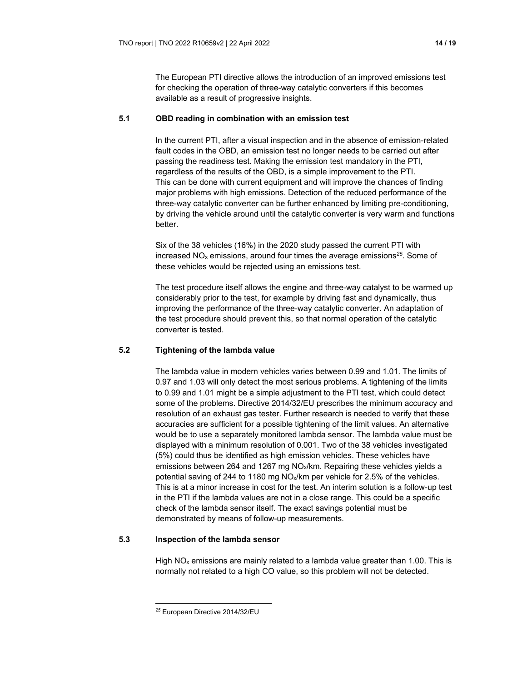The European PTI directive allows the introduction of an improved emissions test for checking the operation of three-way catalytic converters if this becomes available as a result of progressive insights.

### **5.1 OBD reading in combination with an emission test**

In the current PTI, after a visual inspection and in the absence of emission-related fault codes in the OBD, an emission test no longer needs to be carried out after passing the readiness test. Making the emission test mandatory in the PTI, regardless of the results of the OBD, is a simple improvement to the PTI. This can be done with current equipment and will improve the chances of finding major problems with high emissions. Detection of the reduced performance of the three-way catalytic converter can be further enhanced by limiting pre-conditioning, by driving the vehicle around until the catalytic converter is very warm and functions better.

Six of the 38 vehicles (16%) in the 2020 study passed the current PTI with increased NOx emissions, around four times the average emissions*<sup>25</sup>*. Some of these vehicles would be rejected using an emissions test.

The test procedure itself allows the engine and three-way catalyst to be warmed up considerably prior to the test, for example by driving fast and dynamically, thus improving the performance of the three-way catalytic converter. An adaptation of the test procedure should prevent this, so that normal operation of the catalytic converter is tested.

# **5.2 Tightening of the lambda value**

The lambda value in modern vehicles varies between 0.99 and 1.01. The limits of 0.97 and 1.03 will only detect the most serious problems. A tightening of the limits to 0.99 and 1.01 might be a simple adjustment to the PTI test, which could detect some of the problems. Directive 2014/32/EU prescribes the minimum accuracy and resolution of an exhaust gas tester. Further research is needed to verify that these accuracies are sufficient for a possible tightening of the limit values. An alternative would be to use a separately monitored lambda sensor. The lambda value must be displayed with a minimum resolution of 0.001. Two of the 38 vehicles investigated (5%) could thus be identified as high emission vehicles. These vehicles have emissions between 264 and 1267 mg NOx/km. Repairing these vehicles yields a potential saving of 244 to 1180 mg NOx/km per vehicle for 2.5% of the vehicles. This is at a minor increase in cost for the test. An interim solution is a follow-up test in the PTI if the lambda values are not in a close range. This could be a specific check of the lambda sensor itself. The exact savings potential must be demonstrated by means of follow-up measurements.

# **5.3 Inspection of the lambda sensor**

High  $NO<sub>x</sub>$  emissions are mainly related to a lambda value greater than 1.00. This is normally not related to a high CO value, so this problem will not be detected.

*<sup>25</sup>* European Directive 2014/32/EU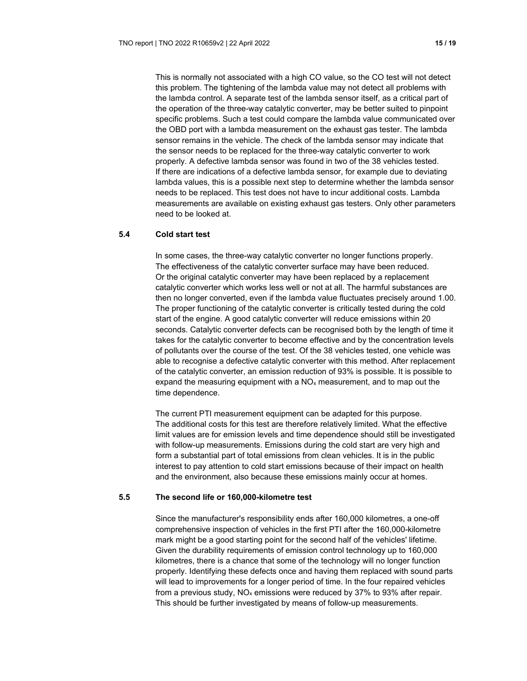This is normally not associated with a high CO value, so the CO test will not detect this problem. The tightening of the lambda value may not detect all problems with the lambda control. A separate test of the lambda sensor itself, as a critical part of the operation of the three-way catalytic converter, may be better suited to pinpoint specific problems. Such a test could compare the lambda value communicated over the OBD port with a lambda measurement on the exhaust gas tester. The lambda sensor remains in the vehicle. The check of the lambda sensor may indicate that the sensor needs to be replaced for the three-way catalytic converter to work properly. A defective lambda sensor was found in two of the 38 vehicles tested. If there are indications of a defective lambda sensor, for example due to deviating lambda values, this is a possible next step to determine whether the lambda sensor needs to be replaced. This test does not have to incur additional costs. Lambda measurements are available on existing exhaust gas testers. Only other parameters need to be looked at.

#### **5.4 Cold start test**

In some cases, the three-way catalytic converter no longer functions properly. The effectiveness of the catalytic converter surface may have been reduced. Or the original catalytic converter may have been replaced by a replacement catalytic converter which works less well or not at all. The harmful substances are then no longer converted, even if the lambda value fluctuates precisely around 1.00. The proper functioning of the catalytic converter is critically tested during the cold start of the engine. A good catalytic converter will reduce emissions within 20 seconds. Catalytic converter defects can be recognised both by the length of time it takes for the catalytic converter to become effective and by the concentration levels of pollutants over the course of the test. Of the 38 vehicles tested, one vehicle was able to recognise a defective catalytic converter with this method. After replacement of the catalytic converter, an emission reduction of 93% is possible. It is possible to expand the measuring equipment with a  $NO<sub>x</sub>$  measurement, and to map out the time dependence.

The current PTI measurement equipment can be adapted for this purpose. The additional costs for this test are therefore relatively limited. What the effective limit values are for emission levels and time dependence should still be investigated with follow-up measurements. Emissions during the cold start are very high and form a substantial part of total emissions from clean vehicles. It is in the public interest to pay attention to cold start emissions because of their impact on health and the environment, also because these emissions mainly occur at homes.

# **5.5 The second life or 160,000-kilometre test**

Since the manufacturer's responsibility ends after 160,000 kilometres, a one-off comprehensive inspection of vehicles in the first PTI after the 160,000-kilometre mark might be a good starting point for the second half of the vehicles' lifetime. Given the durability requirements of emission control technology up to 160,000 kilometres, there is a chance that some of the technology will no longer function properly. Identifying these defects once and having them replaced with sound parts will lead to improvements for a longer period of time. In the four repaired vehicles from a previous study,  $NO<sub>x</sub>$  emissions were reduced by 37% to 93% after repair. This should be further investigated by means of follow-up measurements.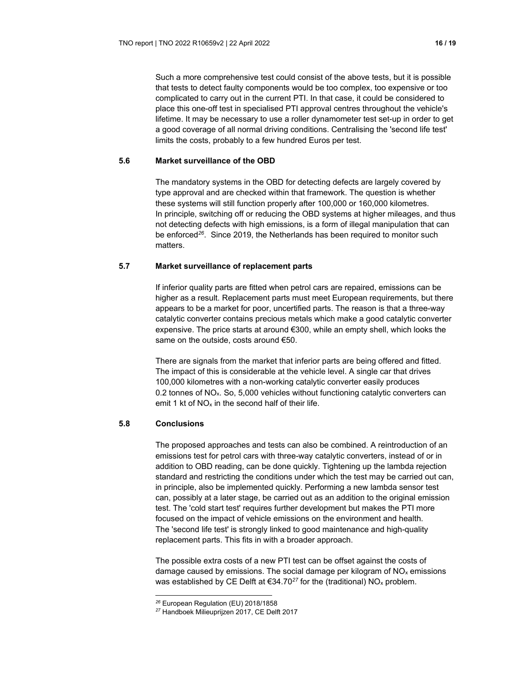Such a more comprehensive test could consist of the above tests, but it is possible that tests to detect faulty components would be too complex, too expensive or too complicated to carry out in the current PTI. In that case, it could be considered to place this one-off test in specialised PTI approval centres throughout the vehicle's lifetime. It may be necessary to use a roller dynamometer test set-up in order to get a good coverage of all normal driving conditions. Centralising the 'second life test' limits the costs, probably to a few hundred Euros per test.

# **5.6 Market surveillance of the OBD**

The mandatory systems in the OBD for detecting defects are largely covered by type approval and are checked within that framework. The question is whether these systems will still function properly after 100,000 or 160,000 kilometres. In principle, switching off or reducing the OBD systems at higher mileages, and thus not detecting defects with high emissions, is a form of illegal manipulation that can be enforced*<sup>26</sup>*. Since 2019, the Netherlands has been required to monitor such matters.

### **5.7 Market surveillance of replacement parts**

If inferior quality parts are fitted when petrol cars are repaired, emissions can be higher as a result. Replacement parts must meet European requirements, but there appears to be a market for poor, uncertified parts. The reason is that a three-way catalytic converter contains precious metals which make a good catalytic converter expensive. The price starts at around €300, while an empty shell, which looks the same on the outside, costs around €50.

There are signals from the market that inferior parts are being offered and fitted. The impact of this is considerable at the vehicle level. A single car that drives 100,000 kilometres with a non-working catalytic converter easily produces 0.2 tonnes of NO<sub>x</sub>. So, 5,000 vehicles without functioning catalytic converters can emit 1 kt of  $NO<sub>x</sub>$  in the second half of their life.

# **5.8 Conclusions**

The proposed approaches and tests can also be combined. A reintroduction of an emissions test for petrol cars with three-way catalytic converters, instead of or in addition to OBD reading, can be done quickly. Tightening up the lambda rejection standard and restricting the conditions under which the test may be carried out can, in principle, also be implemented quickly. Performing a new lambda sensor test can, possibly at a later stage, be carried out as an addition to the original emission test. The 'cold start test' requires further development but makes the PTI more focused on the impact of vehicle emissions on the environment and health. The 'second life test' is strongly linked to good maintenance and high-quality replacement parts. This fits in with a broader approach.

The possible extra costs of a new PTI test can be offset against the costs of damage caused by emissions. The social damage per kilogram of  $NO<sub>x</sub>$  emissions was established by CE Delft at €34.70<sup>27</sup> for the (traditional) NO<sub>x</sub> problem.

*<sup>26</sup>* European Regulation (EU) 2018/1858

*<sup>27</sup>* Handboek Milieuprijzen 2017, CE Delft 2017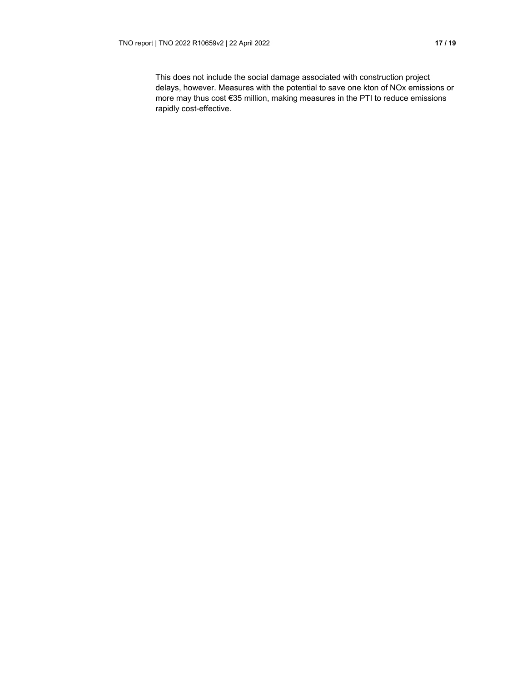This does not include the social damage associated with construction project delays, however. Measures with the potential to save one kton of NOx emissions or more may thus cost €35 million, making measures in the PTI to reduce emissions rapidly cost-effective.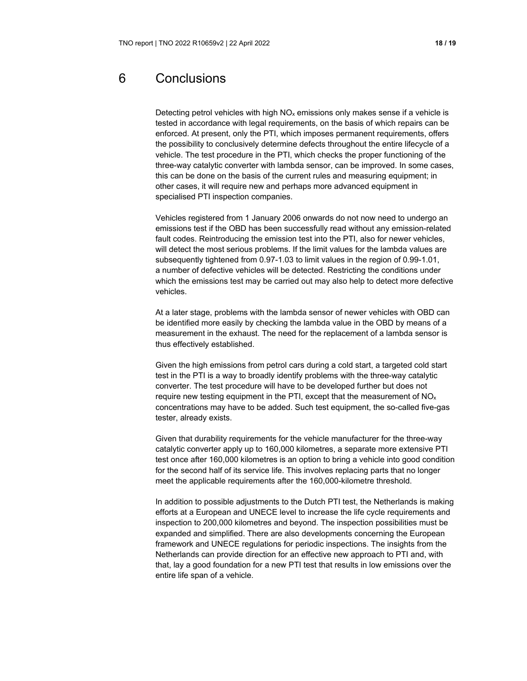# 6 Conclusions

Detecting petrol vehicles with high  $NO<sub>x</sub>$  emissions only makes sense if a vehicle is tested in accordance with legal requirements, on the basis of which repairs can be enforced. At present, only the PTI, which imposes permanent requirements, offers the possibility to conclusively determine defects throughout the entire lifecycle of a vehicle. The test procedure in the PTI, which checks the proper functioning of the three-way catalytic converter with lambda sensor, can be improved. In some cases, this can be done on the basis of the current rules and measuring equipment; in other cases, it will require new and perhaps more advanced equipment in specialised PTI inspection companies.

Vehicles registered from 1 January 2006 onwards do not now need to undergo an emissions test if the OBD has been successfully read without any emission-related fault codes. Reintroducing the emission test into the PTI, also for newer vehicles, will detect the most serious problems. If the limit values for the lambda values are subsequently tightened from 0.97-1.03 to limit values in the region of 0.99-1.01, a number of defective vehicles will be detected. Restricting the conditions under which the emissions test may be carried out may also help to detect more defective vehicles.

At a later stage, problems with the lambda sensor of newer vehicles with OBD can be identified more easily by checking the lambda value in the OBD by means of a measurement in the exhaust. The need for the replacement of a lambda sensor is thus effectively established.

Given the high emissions from petrol cars during a cold start, a targeted cold start test in the PTI is a way to broadly identify problems with the three-way catalytic converter. The test procedure will have to be developed further but does not require new testing equipment in the PTI, except that the measurement of  $NO<sub>x</sub>$ concentrations may have to be added. Such test equipment, the so-called five-gas tester, already exists.

Given that durability requirements for the vehicle manufacturer for the three-way catalytic converter apply up to 160,000 kilometres, a separate more extensive PTI test once after 160,000 kilometres is an option to bring a vehicle into good condition for the second half of its service life. This involves replacing parts that no longer meet the applicable requirements after the 160,000-kilometre threshold.

In addition to possible adjustments to the Dutch PTI test, the Netherlands is making efforts at a European and UNECE level to increase the life cycle requirements and inspection to 200,000 kilometres and beyond. The inspection possibilities must be expanded and simplified. There are also developments concerning the European framework and UNECE regulations for periodic inspections. The insights from the Netherlands can provide direction for an effective new approach to PTI and, with that, lay a good foundation for a new PTI test that results in low emissions over the entire life span of a vehicle.